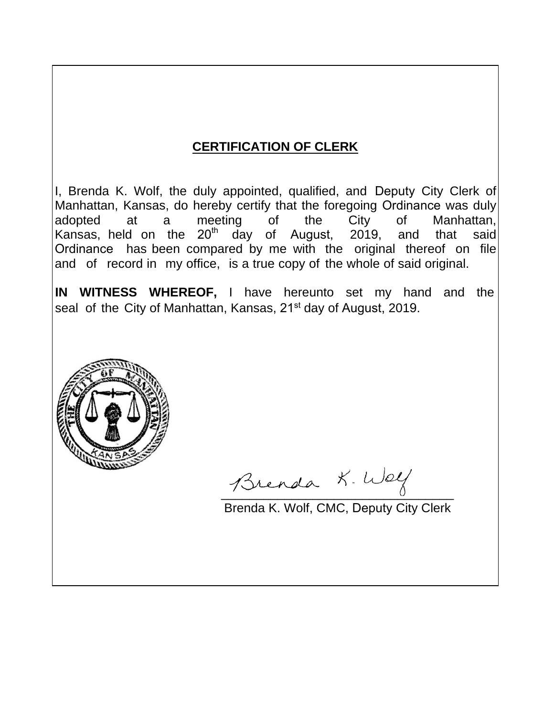# **CERTIFICATION OF CLERK**

I, Brenda K. Wolf, the duly appointed, qualified, and Deputy City Clerk of Manhattan, Kansas, do hereby certify that the foregoing Ordinance was duly adopted at a meeting of the City of Manhattan, Kansas, held on the  $20^{th}$  day of August, 2019, and that said Ordinance has been compared by me with the original thereof on file and of record in my office, is a true copy of the whole of said original.

**IN WITNESS WHEREOF,** I have hereunto set my hand and the seal of the City of Manhattan, Kansas, 21<sup>st</sup> day of August, 2019.



Brenda K. Way

Brenda K. Wolf, CMC, Deputy City Clerk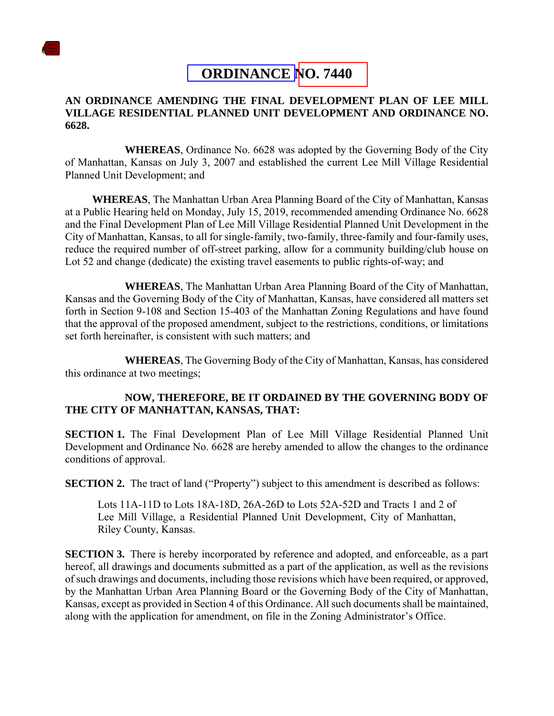

## **ORDINANCE NO. 7440**

## **AN ORDINANCE AMENDING THE FINAL DEVELOPMENT PLAN OF LEE MILL VILLAGE RESIDENTIAL PLANNED UNIT DEVELOPMENT AND ORDINANCE NO. 6628.**

**WHEREAS**, Ordinance No. 6628 was adopted by the Governing Body of the City of Manhattan, Kansas on July 3, 2007 and established the current Lee Mill Village Residential Planned Unit Development; and

**WHEREAS**, The Manhattan Urban Area Planning Board of the City of Manhattan, Kansas at a Public Hearing held on Monday, July 15, 2019, recommended amending Ordinance No. 6628 and the Final Development Plan of Lee Mill Village Residential Planned Unit Development in the City of Manhattan, Kansas, to all for single-family, two-family, three-family and four-family uses, reduce the required number of off-street parking, allow for a community building/club house on Lot 52 and change (dedicate) the existing travel easements to public rights-of-way; and

**WHEREAS**, The Manhattan Urban Area Planning Board of the City of Manhattan, Kansas and the Governing Body of the City of Manhattan, Kansas, have considered all matters set forth in Section 9-108 and Section 15-403 of the Manhattan Zoning Regulations and have found that the approval of the proposed amendment*,* subject to the restrictions, conditions, or limitations set forth hereinafter, is consistent with such matters; and

**WHEREAS**, The Governing Body of the City of Manhattan, Kansas, has considered this ordinance at two meetings;

## **NOW, THEREFORE, BE IT ORDAINED BY THE GOVERNING BODY OF THE CITY OF MANHATTAN, KANSAS, THAT:**

**SECTION 1.** The Final Development Plan of Lee Mill Village Residential Planned Unit Development and Ordinance No. 6628 are hereby amended to allow the changes to the ordinance conditions of approval.

**SECTION 2.** The tract of land ("Property") subject to this amendment is described as follows:

Lots 11A-11D to Lots 18A-18D, 26A-26D to Lots 52A-52D and Tracts 1 and 2 of Lee Mill Village, a Residential Planned Unit Development, City of Manhattan, Riley County, Kansas.

**SECTION 3.** There is hereby incorporated by reference and adopted, and enforceable, as a part hereof, all drawings and documents submitted as a part of the application, as well as the revisions of such drawings and documents, including those revisions which have been required, or approved, by the Manhattan Urban Area Planning Board or the Governing Body of the City of Manhattan, Kansas*,* except as provided in Section 4 of this Ordinance. All such documents shall be maintained, along with the application for amendment, on file in the Zoning Administrator's Office.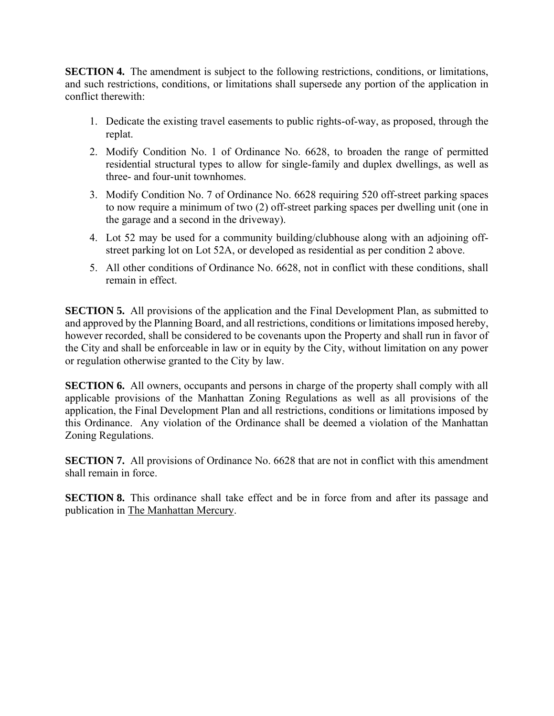**SECTION 4.** The amendment is subject to the following restrictions, conditions, or limitations, and such restrictions, conditions, or limitations shall supersede any portion of the application in conflict therewith:

- 1. Dedicate the existing travel easements to public rights-of-way, as proposed, through the replat.
- 2. Modify Condition No. 1 of Ordinance No. 6628, to broaden the range of permitted residential structural types to allow for single-family and duplex dwellings, as well as three- and four-unit townhomes.
- 3. Modify Condition No. 7 of Ordinance No. 6628 requiring 520 off-street parking spaces to now require a minimum of two (2) off-street parking spaces per dwelling unit (one in the garage and a second in the driveway).
- 4. Lot 52 may be used for a community building/clubhouse along with an adjoining offstreet parking lot on Lot 52A, or developed as residential as per condition 2 above.
- 5. All other conditions of Ordinance No. 6628, not in conflict with these conditions, shall remain in effect.

**SECTION 5.** All provisions of the application and the Final Development Plan, as submitted to and approved by the Planning Board, and all restrictions, conditions or limitations imposed hereby, however recorded, shall be considered to be covenants upon the Property and shall run in favor of the City and shall be enforceable in law or in equity by the City, without limitation on any power or regulation otherwise granted to the City by law.

**SECTION 6.** All owners, occupants and persons in charge of the property shall comply with all applicable provisions of the Manhattan Zoning Regulations as well as all provisions of the application, the Final Development Plan and all restrictions, conditions or limitations imposed by this Ordinance. Any violation of the Ordinance shall be deemed a violation of the Manhattan Zoning Regulations.

**SECTION 7.** All provisions of Ordinance No. 6628 that are not in conflict with this amendment shall remain in force.

**SECTION 8.** This ordinance shall take effect and be in force from and after its passage and publication in The Manhattan Mercury.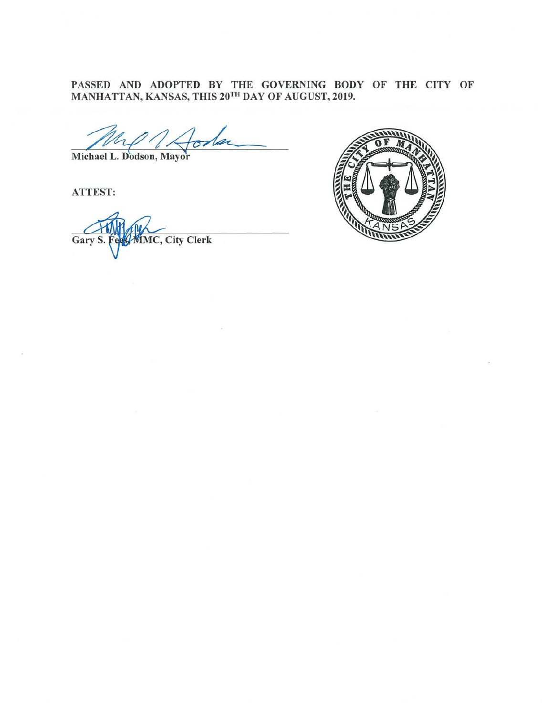PASSED AND ADOPTED BY THE GOVERNING BODY OF THE CITY OF MANHATTAN, KANSAS, THIS 20TH DAY OF AUGUST, 2019.

Michael L. Dodson, Mayor

**ATTEST:** 

**MMC, City Clerk** Gary S.